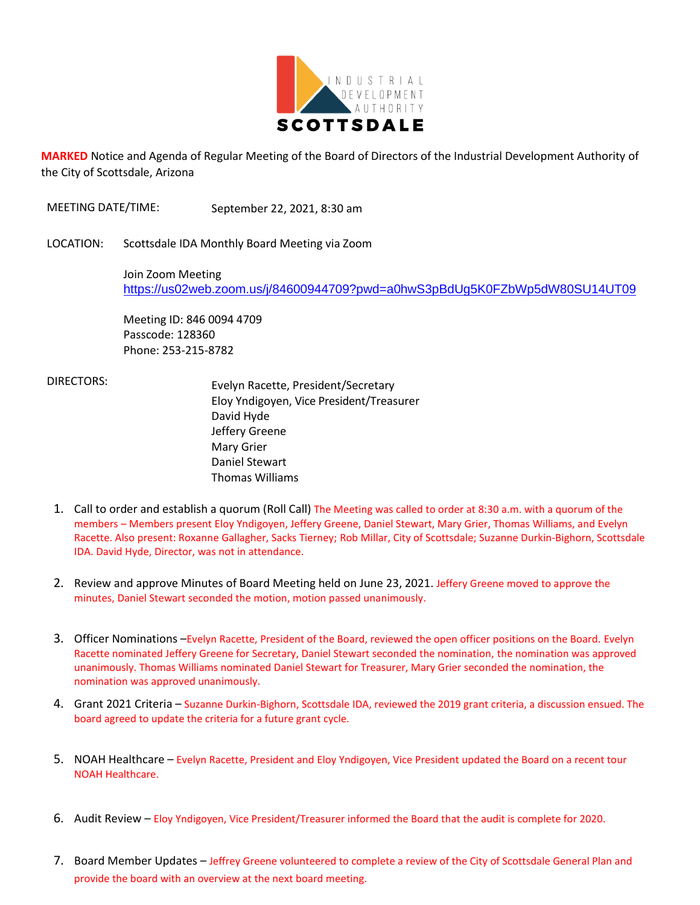

**MARKED** Notice and Agenda of Regular Meeting of the Board of Directors of the Industrial Development Authority of the City of Scottsdale, Arizona

MEETING DATE/TIME: September 22, 2021, 8:30 am

LOCATION: Scottsdale IDA Monthly Board Meeting via Zoom

Join Zoom Meeting <https://us02web.zoom.us/j/84600944709?pwd=a0hwS3pBdUg5K0FZbWp5dW80SU14UT09>

Meeting ID: 846 0094 4709 Passcode: 128360 Phone: 253-215-8782

 DIRECTORS: Evelyn Racette, President/Secretary Eloy Yndigoyen, Vice President/Treasurer David Hyde Jeffery Greene Mary Grier Daniel Stewart Thomas Williams

- 1. Call to order and establish a quorum (Roll Call) The Meeting was called to order at 8:30 a.m. with a quorum of the members – Members present Eloy Yndigoyen, Jeffery Greene, Daniel Stewart, Mary Grier, Thomas Williams, and Evelyn Racette. Also present: Roxanne Gallagher, Sacks Tierney; Rob Millar, City of Scottsdale; Suzanne Durkin-Bighorn, Scottsdale IDA. David Hyde, Director, was not in attendance.
- 2. Review and approve Minutes of Board Meeting held on June 23, 2021. Jeffery Greene moved to approve the minutes, Daniel Stewart seconded the motion, motion passed unanimously.
- 3. Officer Nominations –Evelyn Racette, President of the Board, reviewed the open officer positions on the Board. Evelyn Racette nominated Jeffery Greene for Secretary, Daniel Stewart seconded the nomination, the nomination was approved unanimously. Thomas Williams nominated Daniel Stewart for Treasurer, Mary Grier seconded the nomination, the nomination was approved unanimously.
- 4. Grant 2021 Criteria Suzanne Durkin-Bighorn, Scottsdale IDA, reviewed the 2019 grant criteria, a discussion ensued. The board agreed to update the criteria for a future grant cycle.
- 5. NOAH Healthcare Evelyn Racette, President and Eloy Yndigoyen, Vice President updated the Board on a recent tour NOAH Healthcare.
- 6. Audit Review Eloy Yndigoyen, Vice President/Treasurer informed the Board that the audit is complete for 2020.
- 7. Board Member Updates Jeffrey Greene volunteered to complete a review of the City of Scottsdale General Plan and provide the board with an overview at the next board meeting.